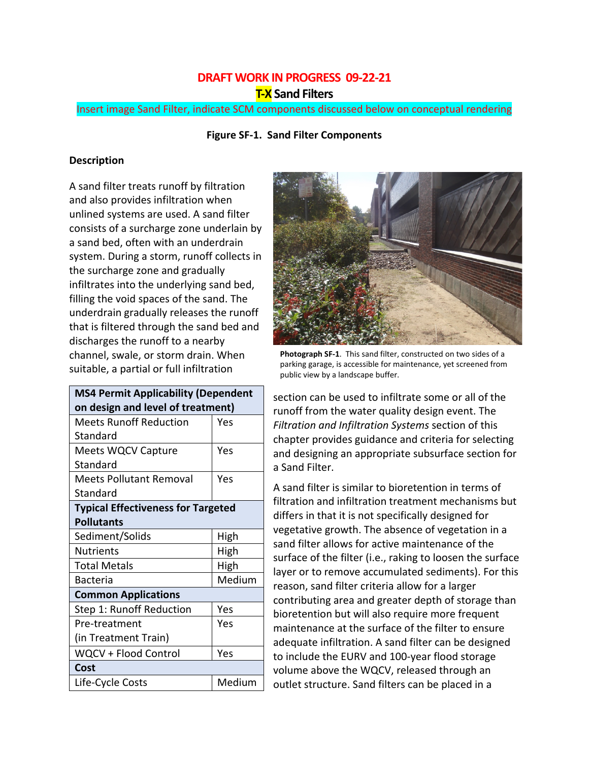# **DRAFT WORK IN PROGRESS 09-22-21**

**T-X Sand Filters**

Insert image Sand Filter, indicate SCM components discussed below on conceptual rendering

**Figure SF-1. Sand Filter Components**

#### **Description**

A sand filter treats runoff by filtration and also provides infiltration when unlined systems are used. A sand filter consists of a surcharge zone underlain by a sand bed, often with an underdrain system. During a storm, runoff collects in the surcharge zone and gradually infiltrates into the underlying sand bed, filling the void spaces of the sand. The underdrain gradually releases the runoff that is filtered through the sand bed and discharges the runoff to a nearby channel, swale, or storm drain. When suitable, a partial or full infiltration

| <b>MS4 Permit Applicability (Dependent</b> |        |  |
|--------------------------------------------|--------|--|
| on design and level of treatment)          |        |  |
| <b>Meets Runoff Reduction</b>              | Yes    |  |
| Standard                                   |        |  |
| <b>Meets WQCV Capture</b>                  | Yes    |  |
| Standard                                   |        |  |
| <b>Meets Pollutant Removal</b>             | Yes    |  |
| Standard                                   |        |  |
| <b>Typical Effectiveness for Targeted</b>  |        |  |
| <b>Pollutants</b>                          |        |  |
| Sediment/Solids                            | High   |  |
| <b>Nutrients</b>                           | High   |  |
| <b>Total Metals</b>                        | High   |  |
| Bacteria                                   | Medium |  |
| <b>Common Applications</b>                 |        |  |
| Step 1: Runoff Reduction                   | Yes    |  |
| Pre-treatment                              | Yes    |  |
| (in Treatment Train)                       |        |  |
| WQCV + Flood Control                       | Yes    |  |
| Cost                                       |        |  |
| Life-Cycle Costs                           | Medium |  |



**Photograph SF-1**. This sand filter, constructed on two sides of a parking garage, is accessible for maintenance, yet screened from public view by a landscape buffer.

section can be used to infiltrate some or all of the runoff from the water quality design event. The *Filtration and Infiltration Systems* section of this chapter provides guidance and criteria for selecting and designing an appropriate subsurface section for a Sand Filter.

A sand filter is similar to bioretention in terms of filtration and infiltration treatment mechanisms but differs in that it is not specifically designed for vegetative growth. The absence of vegetation in a sand filter allows for active maintenance of the surface of the filter (i.e., raking to loosen the surface layer or to remove accumulated sediments). For this reason, sand filter criteria allow for a larger contributing area and greater depth of storage than bioretention but will also require more frequent maintenance at the surface of the filter to ensure adequate infiltration. A sand filter can be designed to include the EURV and 100-year flood storage volume above the WQCV, released through an outlet structure. Sand filters can be placed in a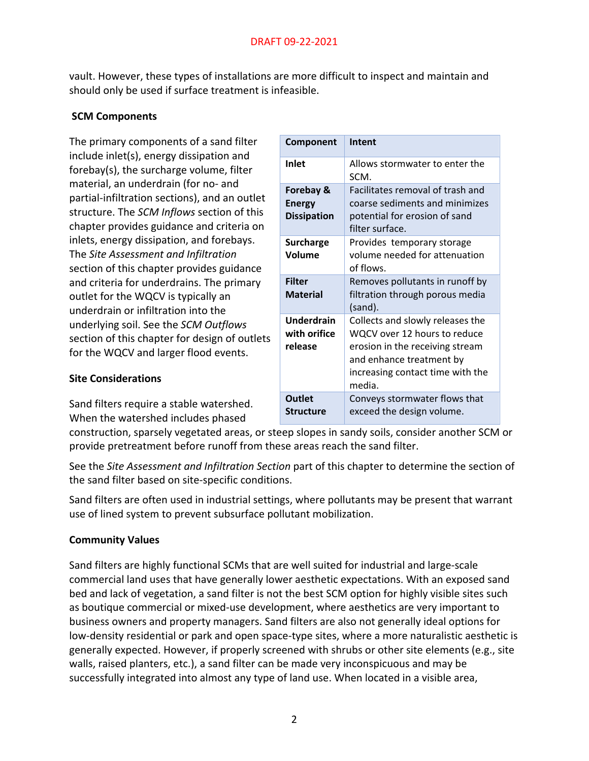vault. However, these types of installations are more difficult to inspect and maintain and should only be used if surface treatment is infeasible.

# **SCM Components**

The primary components of a sand filter include inlet(s), energy dissipation and forebay(s), the surcharge volume, filter material, an underdrain (for no- and partial-infiltration sections), and an outlet structure. The *SCM Inflows* section of this chapter provides guidance and criteria on inlets, energy dissipation, and forebays. The *Site Assessment and Infiltration*  section of this chapter provides guidance and criteria for underdrains. The primary outlet for the WQCV is typically an underdrain or infiltration into the underlying soil. See the *SCM Outflows* section of this chapter for design of outlets for the WQCV and larger flood events.

| Component                                 | Intent                                                                                                                                                                        |
|-------------------------------------------|-------------------------------------------------------------------------------------------------------------------------------------------------------------------------------|
| <b>Inlet</b>                              | Allows stormwater to enter the<br>SCM.                                                                                                                                        |
| Forebay &<br>Energy<br><b>Dissipation</b> | Facilitates removal of trash and<br>coarse sediments and minimizes<br>potential for erosion of sand<br>filter surface.                                                        |
| <b>Surcharge</b><br><b>Volume</b>         | Provides temporary storage<br>volume needed for attenuation<br>of flows.                                                                                                      |
| <b>Filter</b><br><b>Material</b>          | Removes pollutants in runoff by<br>filtration through porous media<br>(sand).                                                                                                 |
| Underdrain<br>with orifice<br>release     | Collects and slowly releases the<br>WQCV over 12 hours to reduce<br>erosion in the receiving stream<br>and enhance treatment by<br>increasing contact time with the<br>media. |
| <b>Outlet</b><br><b>Structure</b>         | Conveys stormwater flows that<br>exceed the design volume.                                                                                                                    |

### **Site Considerations**

Sand filters require a stable watershed. When the watershed includes phased

construction, sparsely vegetated areas, or steep slopes in sandy soils, consider another SCM or provide pretreatment before runoff from these areas reach the sand filter.

See the *Site Assessment and Infiltration Section* part of this chapter to determine the section of the sand filter based on site-specific conditions.

Sand filters are often used in industrial settings, where pollutants may be present that warrant use of lined system to prevent subsurface pollutant mobilization.

# **Community Values**

Sand filters are highly functional SCMs that are well suited for industrial and large-scale commercial land uses that have generally lower aesthetic expectations. With an exposed sand bed and lack of vegetation, a sand filter is not the best SCM option for highly visible sites such as boutique commercial or mixed-use development, where aesthetics are very important to business owners and property managers. Sand filters are also not generally ideal options for low-density residential or park and open space-type sites, where a more naturalistic aesthetic is generally expected. However, if properly screened with shrubs or other site elements (e.g., site walls, raised planters, etc.), a sand filter can be made very inconspicuous and may be successfully integrated into almost any type of land use. When located in a visible area,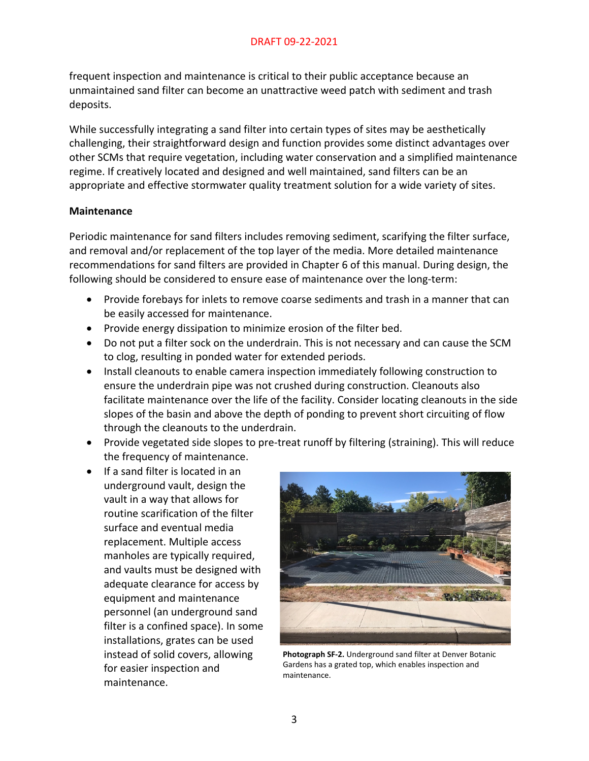## DRAFT 09-22-2021

frequent inspection and maintenance is critical to their public acceptance because an unmaintained sand filter can become an unattractive weed patch with sediment and trash deposits.

While successfully integrating a sand filter into certain types of sites may be aesthetically challenging, their straightforward design and function provides some distinct advantages over other SCMs that require vegetation, including water conservation and a simplified maintenance regime. If creatively located and designed and well maintained, sand filters can be an appropriate and effective stormwater quality treatment solution for a wide variety of sites.

### **Maintenance**

Periodic maintenance for sand filters includes removing sediment, scarifying the filter surface, and removal and/or replacement of the top layer of the media. More detailed maintenance recommendations for sand filters are provided in Chapter 6 of this manual. During design, the following should be considered to ensure ease of maintenance over the long-term:

- Provide forebays for inlets to remove coarse sediments and trash in a manner that can be easily accessed for maintenance.
- Provide energy dissipation to minimize erosion of the filter bed.
- Do not put a filter sock on the underdrain. This is not necessary and can cause the SCM to clog, resulting in ponded water for extended periods.
- Install cleanouts to enable camera inspection immediately following construction to ensure the underdrain pipe was not crushed during construction. Cleanouts also facilitate maintenance over the life of the facility. Consider locating cleanouts in the side slopes of the basin and above the depth of ponding to prevent short circuiting of flow through the cleanouts to the underdrain.
- Provide vegetated side slopes to pre-treat runoff by filtering (straining). This will reduce the frequency of maintenance.
- If a sand filter is located in an underground vault, design the vault in a way that allows for routine scarification of the filter surface and eventual media replacement. Multiple access manholes are typically required, and vaults must be designed with adequate clearance for access by equipment and maintenance personnel (an underground sand filter is a confined space). In some installations, grates can be used instead of solid covers, allowing for easier inspection and maintenance.



**Photograph SF-2.** Underground sand filter at Denver Botanic Gardens has a grated top, which enables inspection and maintenance.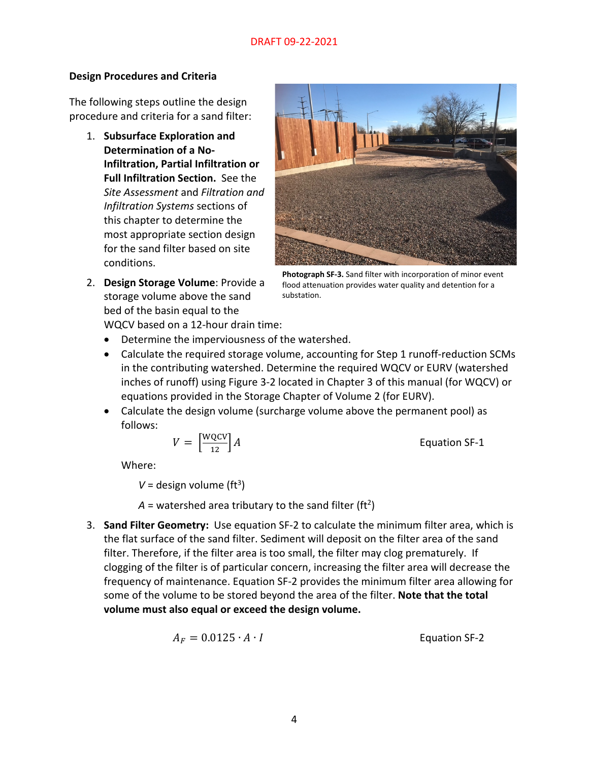# **Design Procedures and Criteria**

The following steps outline the design procedure and criteria for a sand filter:

1. **Subsurface Exploration and Determination of a No-Infiltration, Partial Infiltration or Full Infiltration Section.** See the *Site Assessment* and *Filtration and Infiltration Systems* sections of this chapter to determine the most appropriate section design for the sand filter based on site conditions.





**Photograph SF-3.** Sand filter with incorporation of minor event flood attenuation provides water quality and detention for a substation.

WQCV based on a 12-hour drain time:

- Determine the imperviousness of the watershed.
- Calculate the required storage volume, accounting for Step 1 runoff-reduction SCMs in the contributing watershed. Determine the required WQCV or EURV (watershed inches of runoff) using Figure 3-2 located in Chapter 3 of this manual (for WQCV) or equations provided in the Storage Chapter of Volume 2 (for EURV).
- Calculate the design volume (surcharge volume above the permanent pool) as follows:

 $V = \frac{WQCV}{12}$ 

Equation SF-1

Where:

 $V =$  design volume (ft<sup>3</sup>)

 $A$  = watershed area tributary to the sand filter (ft<sup>2</sup>)

3. **Sand Filter Geometry:** Use equation SF-2 to calculate the minimum filter area, which is the flat surface of the sand filter. Sediment will deposit on the filter area of the sand filter. Therefore, if the filter area is too small, the filter may clog prematurely. If clogging of the filter is of particular concern, increasing the filter area will decrease the frequency of maintenance. Equation SF-2 provides the minimum filter area allowing for some of the volume to be stored beyond the area of the filter. **Note that the total volume must also equal or exceed the design volume.** 

$$
A_F = 0.0125 \cdot A \cdot I
$$
 Equation SF-2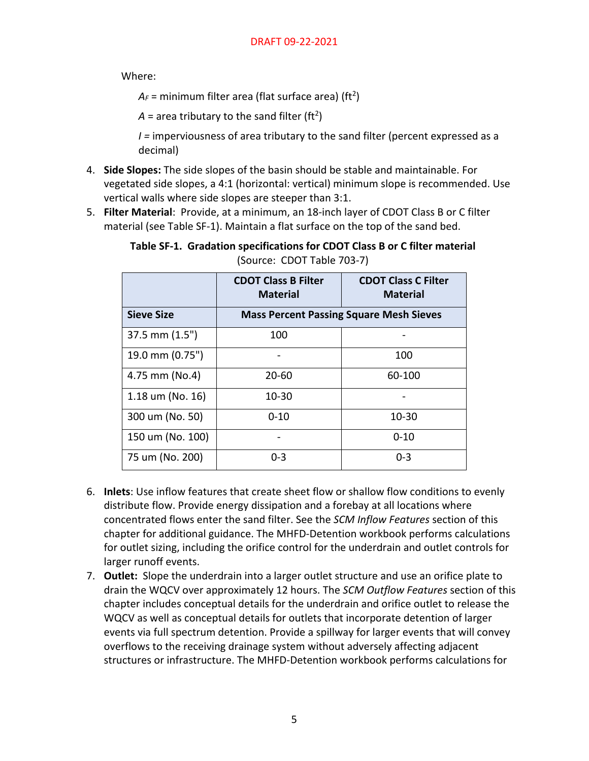Where:

 $A_F$  = minimum filter area (flat surface area) (ft<sup>2</sup>)

 $A =$  area tributary to the sand filter (ft<sup>2</sup>)

*I =* imperviousness of area tributary to the sand filter (percent expressed as a decimal)

- 4. **Side Slopes:** The side slopes of the basin should be stable and maintainable. For vegetated side slopes, a 4:1 (horizontal: vertical) minimum slope is recommended. Use vertical walls where side slopes are steeper than 3:1.
- 5. **Filter Material**: Provide, at a minimum, an 18-inch layer of CDOT Class B or C filter material (see Table SF-1). Maintain a flat surface on the top of the sand bed.

**Table SF-1. Gradation specifications for CDOT Class B or C filter material** (Source:CDOT Table 703-7)

|                   | <b>CDOT Class B Filter</b><br><b>Material</b>  | <b>CDOT Class C Filter</b><br><b>Material</b> |
|-------------------|------------------------------------------------|-----------------------------------------------|
| <b>Sieve Size</b> | <b>Mass Percent Passing Square Mesh Sieves</b> |                                               |
| 37.5 mm (1.5")    | 100                                            |                                               |
| 19.0 mm (0.75")   |                                                | 100                                           |
| 4.75 mm (No.4)    | $20 - 60$                                      | 60-100                                        |
| 1.18 um (No. 16)  | 10-30                                          |                                               |
| 300 um (No. 50)   | $0 - 10$                                       | $10 - 30$                                     |
| 150 um (No. 100)  |                                                | $0 - 10$                                      |
| 75 um (No. 200)   | 0-3                                            | $0 - 3$                                       |

- 6. **Inlets**: Use inflow features that create sheet flow or shallow flow conditions to evenly distribute flow. Provide energy dissipation and a forebay at all locations where concentrated flows enter the sand filter. See the *SCM Inflow Features* section of this chapter for additional guidance. The MHFD-Detention workbook performs calculations for outlet sizing, including the orifice control for the underdrain and outlet controls for larger runoff events.
- 7. **Outlet:** Slope the underdrain into a larger outlet structure and use an orifice plate to drain the WQCV over approximately 12 hours. The *SCM Outflow Features* section of this chapter includes conceptual details for the underdrain and orifice outlet to release the WQCV as well as conceptual details for outlets that incorporate detention of larger events via full spectrum detention. Provide a spillway for larger events that will convey overflows to the receiving drainage system without adversely affecting adjacent structures or infrastructure. The MHFD-Detention workbook performs calculations for